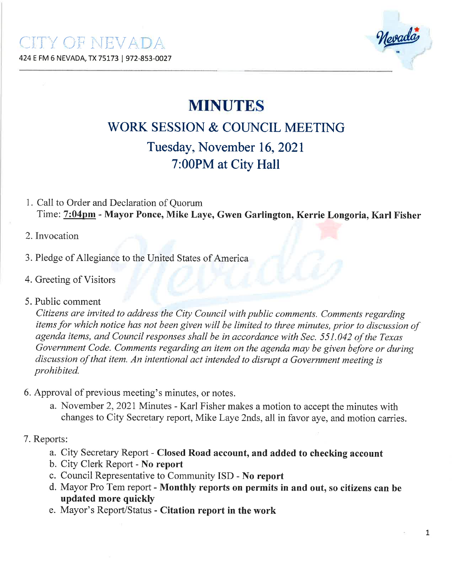

## MINUTES

# V/ORK SESSION & COUNCIL MEETING Tuesday, November 16, 2021 7:00PM at City Hall

- 1. Call to Order and Declaration of Quorum Time: 7:04pm - Mayor Ponce, Mike Laye, Gwen Garlington, Kerrie Longoria, Karl Fisher
- 2. Invocation
- 3. Pledge of Allegiance to the United States of America
- 4. Greeting of Visitors
- 5. Public comment

Citizens are invited to address the City Council with public comments. Comments regarding items for whích notice has not been given will be limited to three minutes, prior to discussion of agenda items, and Council responses shall be in accordance with Sec. 55L042 of the Texas Government Code. Comments regarding an item on the agenda may be given before or during discussion of that item. An intentional act intended to disrupt a Government meeting is prohibited.

- 6. Approval of previous meeting's minutes, or notes.
	- a. November 2, 2021 Minutes Karl Fisher makes a motion to accept the minutes with changes to City Secretary report, Mike Laye 2nds, all in favor aye, and motion carries.

#### 7. Reports:

- a. City Secretary Report Closed Road account, and added to checking account
- b. Cify Clerk Report No report
- c. Council Representative to Community ISD No report
- d. Mayor Pro Tem report Monthly reports on permits in and out, so citizens can be updated more quickly
- e. Mayor's Report/Status Citation report in the work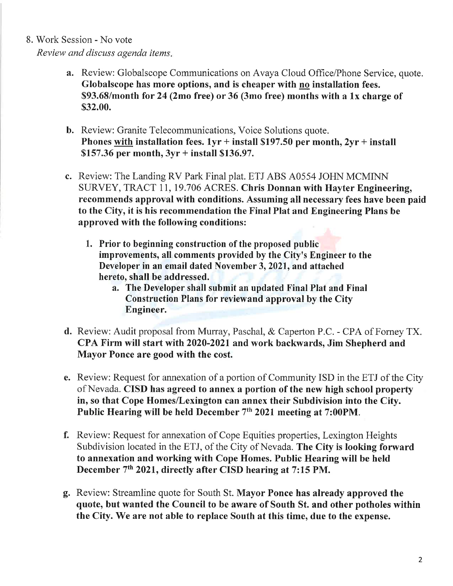8. Work Session - No vote

Review and díscuss agenda items

- a. Review: Globalscope Communications on Avaya Cloud Office/Phone Service, quote. Globalscope has more options, and is cheaper with no installation fees. \$93.68/month for 24 (2mo free) or 36 (3mo free) months with a lx charge of \$32.00.
- b. Review: Granite Telecommunications, Voice Solutions quote. Phones with installation fees.  $1yr +$  install \$197.50 per month,  $2yr +$  install \$157.36 per month, 3yr + install \$136.97.
- c. Review: The Landing RV Park Final plat. ETJ ABS A0554 JOHN MCMINN SURVEY, TRACT 11,19.706 ACRES. Chris Donnan with Hayter Engineering, recommends approval with conditions. Assuming all necessary fees have been paid to the City, it is his recommendation the Final Plat and Engineering Plans be approved with the following conditions:
	- 1. Prior to beginning construction of the proposed public improvements, all comments provided by the Cify's Engineer to the Developer in an email dated November 3, 2021, and attached hereto, shall be addressed.
		- a. The Developer shall submit an updated Final Plat and Final Construction Plans for reviewand approval by the City Engineer.
- d. Review: Audit proposal from Murray, Paschal, & Caperton P.C. CPA of Forney TX. CPA Firm will start with 2020-2021and work backwards, Jim Shepherd and Mayor Ponce are good with the cost.
- e. Review: Request for annexation of a portion of Community ISD in the ETJ of the City of Nevada. CISD has agreed to annex a portion of the new high school properfy in, so that Cope Homes/Lexington can annex their Subdivision into the City. Public Hearing will be held December 7<sup>th</sup> 2021 meeting at 7:00PM.
- f. Review: Request for annexation of Cope Equities properties, Lexington Heights Subdivision located in the ETJ, of the City of Nevada. The City is looking forward to annexation and working with Cope Homes. Public Hearing will be held December 7<sup>th</sup> 2021, directly after CISD hearing at 7:15 PM.
- g. Review: Streamline quote for South St. Mayor Ponce has already approved the quote, but wanted the Council to be aware of South St. and other potholes within the City. We are not able to replace South at this time, due to the expense.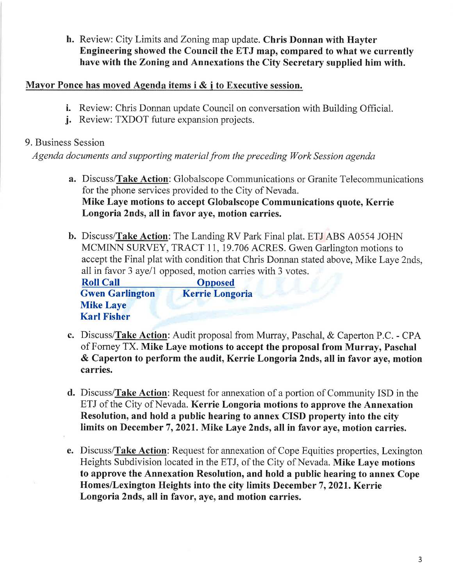h. Review: City Limits and Zoning map update. Chris Donnan with Hayter Engineering showed the Council the ETJ map, compared to what we currently have with the Zoning and Annexations the City Secretary supplied him with.

### Mayor Ponce has moved Agenda items  $i \& j$  to Executive session.

- i. Review: Chris Donnan update Council on conversation with Building Official. j. Review: TXDOT future expansion projects.
- 

### 9. Business Session

Agenda documents and supporting material from the preceding Work Sessíon agenda

- a. Discuss/Take Action: Globalscope Communications or Granite Telecommunications for the phone services provided to the City of Nevada. Mike Laye motions to accept Globalscope Communications quote, Kerrie Longoria 2nds, all in favor aye, motion carries.
- b. Discuss/Take Action: The Landing RV Park Final plat. ETJ ABS A0554 JOHN MCMINN SURVEY, TRACT ll,19.706 ACRES. Gwen Garlington motions to accept the Final plat with condition that Chris Donnan stated above, Mike Laye 2nds, all in favor 3 aye/1 opposed, motion carries with 3 votes.

**Roll Call Call Call Opposed Contains Contain Contains Contains Contains Contains Contains Contains Contains Contains Contains Contains Contains Contains Contains Contains Contains Contains Contains Contains Contains Conta Gwen Garlington** Mike Laye Karl Fisher

- c. Discuss/Take Action: Audit proposal from Murray, Paschal, & Caperton P.C. CPA of Forney TX. Mike Laye motions to accept the proposal from Murray, Paschal & Caperton to perform the audit, Kerrie Longoria 2nds, all in favor aye, motion carries.
- d. Discuss/ $\text{Take Action:}$  Request for annexation of a portion of Community ISD in the ETJ of the City of Nevada. Kerrie Longoria motions to approve the Annexation Resolution, and hold a public hearing to annex CISD properfy into the city limits on December 7, 2021. Mike Laye 2nds, all in favor aye, motion carries.
- e. Discuss/Take Action: Request for annexation of Cope Equities properties, Lexington Heights Subdivision located in the ETJ, of the City of Nevada. Mike Laye motions to approve the Annexation Resolution, and hold a public hearing to annex Cope Homes/Lexington Heights into the city limits December 7, 2021. Kerrie Longoria 2nds, all in favor, aye, and motion carries.